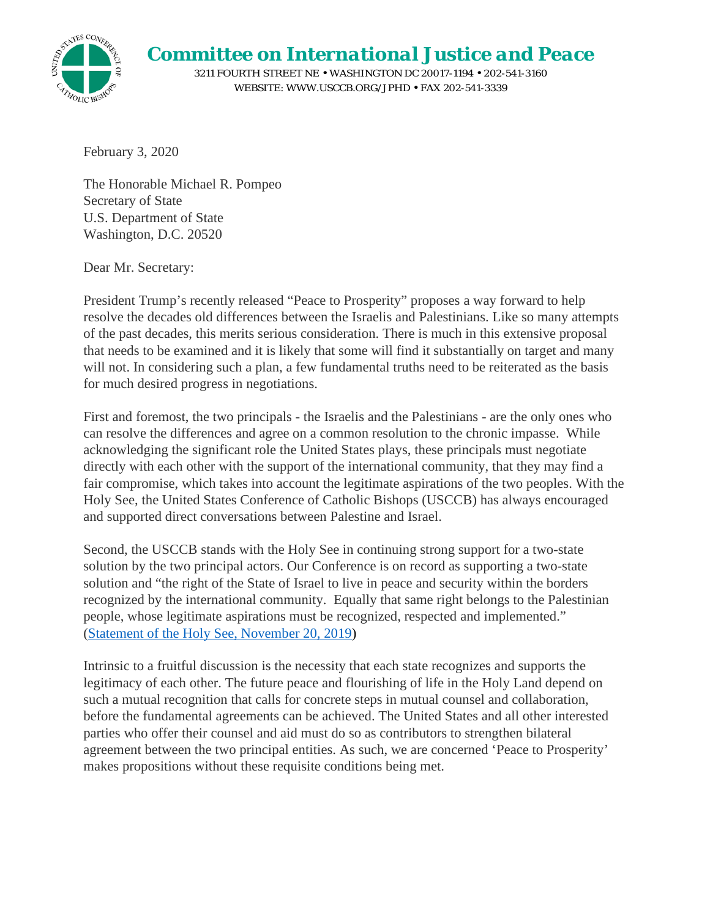

*Committee on International Justice and Peace*

3211 FOURTH STREET NE • WASHINGTON DC 20017-1194 • 202-541-3160 WEBSITE: WWW.USCCB.ORG/JPHD • FAX 202-541-3339

February 3, 2020

The Honorable Michael R. Pompeo Secretary of State U.S. Department of State Washington, D.C. 20520

Dear Mr. Secretary:

President Trump's recently released "Peace to Prosperity" proposes a way forward to help resolve the decades old differences between the Israelis and Palestinians. Like so many attempts of the past decades, this merits serious consideration. There is much in this extensive proposal that needs to be examined and it is likely that some will find it substantially on target and many will not. In considering such a plan, a few fundamental truths need to be reiterated as the basis for much desired progress in negotiations.

First and foremost, the two principals - the Israelis and the Palestinians - are the only ones who can resolve the differences and agree on a common resolution to the chronic impasse. While acknowledging the significant role the United States plays, these principals must negotiate directly with each other with the support of the international community, that they may find a fair compromise, which takes into account the legitimate aspirations of the two peoples. With the Holy See, the United States Conference of Catholic Bishops (USCCB) has always encouraged and supported direct conversations between Palestine and Israel.

Second, the USCCB stands with the Holy See in continuing strong support for a two-state solution by the two principal actors. Our Conference is on record as supporting a two-state solution and "the right of the State of Israel to live in peace and security within the borders recognized by the international community. Equally that same right belongs to the Palestinian people, whose legitimate aspirations must be recognized, respected and implemented." (Statement of the Holy See, November 20, 2019)

Intrinsic to a fruitful discussion is the necessity that each state recognizes and supports the legitimacy of each other. The future peace and flourishing of life in the Holy Land depend on such a mutual recognition that calls for concrete steps in mutual counsel and collaboration, before the fundamental agreements can be achieved. The United States and all other interested parties who offer their counsel and aid must do so as contributors to strengthen bilateral agreement between the two principal entities. As such, we are concerned 'Peace to Prosperity' makes propositions without these requisite conditions being met.